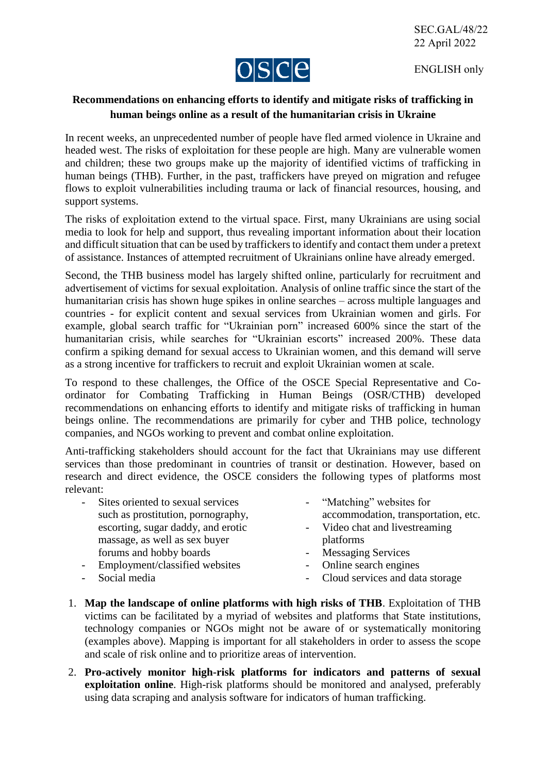ENGLISH only



## **Recommendations on enhancing efforts to identify and mitigate risks of trafficking in human beings online as a result of the humanitarian crisis in Ukraine**

In recent weeks, an unprecedented number of people have fled armed violence in Ukraine and headed west. The risks of exploitation for these people are high. Many are vulnerable women and children; these two groups make up the majority of identified victims of trafficking in human beings (THB). Further, in the past, traffickers have preyed on migration and refugee flows to exploit vulnerabilities including trauma or lack of financial resources, housing, and support systems.

The risks of exploitation extend to the virtual space. First, many Ukrainians are using social media to look for help and support, thus revealing important information about their location and difficult situation that can be used by traffickers to identify and contact them under a pretext of assistance. Instances of attempted recruitment of Ukrainians online have already emerged.

Second, the THB business model has largely shifted online, particularly for recruitment and advertisement of victims for sexual exploitation. Analysis of online traffic since the start of the humanitarian crisis has shown huge spikes in online searches – across multiple languages and countries - for explicit content and sexual services from Ukrainian women and girls. For example, global search traffic for "Ukrainian porn" increased 600% since the start of the humanitarian crisis, while searches for "Ukrainian escorts" increased 200%. These data confirm a spiking demand for sexual access to Ukrainian women, and this demand will serve as a strong incentive for traffickers to recruit and exploit Ukrainian women at scale.

To respond to these challenges, the Office of the OSCE Special Representative and Coordinator for Combating Trafficking in Human Beings (OSR/CTHB) developed recommendations on enhancing efforts to identify and mitigate risks of trafficking in human beings online. The recommendations are primarily for cyber and THB police, technology companies, and NGOs working to prevent and combat online exploitation.

Anti-trafficking stakeholders should account for the fact that Ukrainians may use different services than those predominant in countries of transit or destination. However, based on research and direct evidence, the OSCE considers the following types of platforms most relevant:

- Sites oriented to sexual services such as prostitution, pornography, escorting, sugar daddy, and erotic massage, as well as sex buyer forums and hobby boards
- "Matching" websites for accommodation, transportation, etc. - Video chat and livestreaming
- platforms - Messaging Services
- Employment/classified websites
- Social media
- Online search engines - Cloud services and data storage
- 1. **Map the landscape of online platforms with high risks of THB**. Exploitation of THB victims can be facilitated by a myriad of websites and platforms that State institutions, technology companies or NGOs might not be aware of or systematically monitoring (examples above). Mapping is important for all stakeholders in order to assess the scope and scale of risk online and to prioritize areas of intervention.
- 2. **Pro-actively monitor high-risk platforms for indicators and patterns of sexual exploitation online**. High-risk platforms should be monitored and analysed, preferably using data scraping and analysis software for indicators of human trafficking.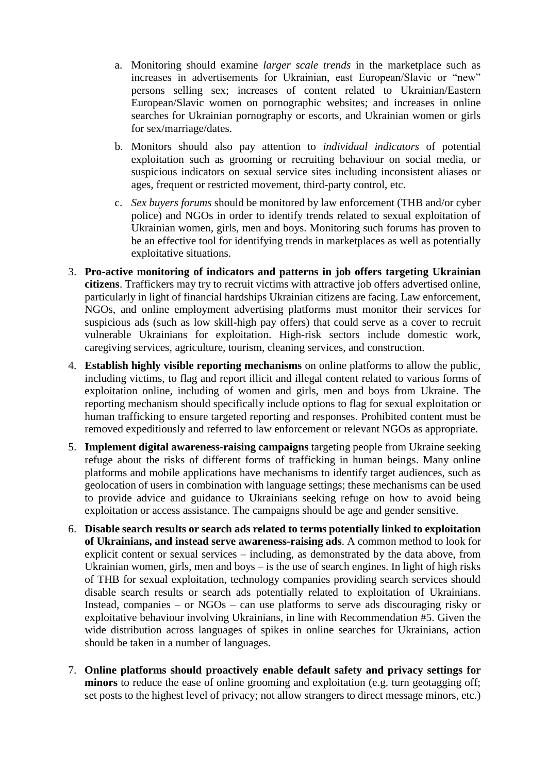- a. Monitoring should examine *larger scale trends* in the marketplace such as increases in advertisements for Ukrainian, east European/Slavic or "new" persons selling sex; increases of content related to Ukrainian/Eastern European/Slavic women on pornographic websites; and increases in online searches for Ukrainian pornography or escorts, and Ukrainian women or girls for sex/marriage/dates.
- b. Monitors should also pay attention to *individual indicators* of potential exploitation such as grooming or recruiting behaviour on social media, or suspicious indicators on sexual service sites including inconsistent aliases or ages, frequent or restricted movement, third-party control, etc.
- c. *Sex buyers forums* should be monitored by law enforcement (THB and/or cyber police) and NGOs in order to identify trends related to sexual exploitation of Ukrainian women, girls, men and boys. Monitoring such forums has proven to be an effective tool for identifying trends in marketplaces as well as potentially exploitative situations.
- 3. **Pro-active monitoring of indicators and patterns in job offers targeting Ukrainian citizens**. Traffickers may try to recruit victims with attractive job offers advertised online, particularly in light of financial hardships Ukrainian citizens are facing. Law enforcement, NGOs, and online employment advertising platforms must monitor their services for suspicious ads (such as low skill-high pay offers) that could serve as a cover to recruit vulnerable Ukrainians for exploitation. High-risk sectors include domestic work, caregiving services, agriculture, tourism, cleaning services, and construction.
- 4. **Establish highly visible reporting mechanisms** on online platforms to allow the public, including victims, to flag and report illicit and illegal content related to various forms of exploitation online, including of women and girls, men and boys from Ukraine. The reporting mechanism should specifically include options to flag for sexual exploitation or human trafficking to ensure targeted reporting and responses. Prohibited content must be removed expeditiously and referred to law enforcement or relevant NGOs as appropriate.
- 5. **Implement digital awareness-raising campaigns** targeting people from Ukraine seeking refuge about the risks of different forms of trafficking in human beings. Many online platforms and mobile applications have mechanisms to identify target audiences, such as geolocation of users in combination with language settings; these mechanisms can be used to provide advice and guidance to Ukrainians seeking refuge on how to avoid being exploitation or access assistance. The campaigns should be age and gender sensitive.
- 6. **Disable search results or search ads related to terms potentially linked to exploitation of Ukrainians, and instead serve awareness-raising ads**. A common method to look for explicit content or sexual services – including, as demonstrated by the data above, from Ukrainian women, girls, men and boys – is the use of search engines. In light of high risks of THB for sexual exploitation, technology companies providing search services should disable search results or search ads potentially related to exploitation of Ukrainians. Instead, companies – or NGOs – can use platforms to serve ads discouraging risky or exploitative behaviour involving Ukrainians, in line with Recommendation #5. Given the wide distribution across languages of spikes in online searches for Ukrainians, action should be taken in a number of languages.
- 7. **Online platforms should proactively enable default safety and privacy settings for minors** to reduce the ease of online grooming and exploitation (e.g. turn geotagging off; set posts to the highest level of privacy; not allow strangers to direct message minors, etc.)